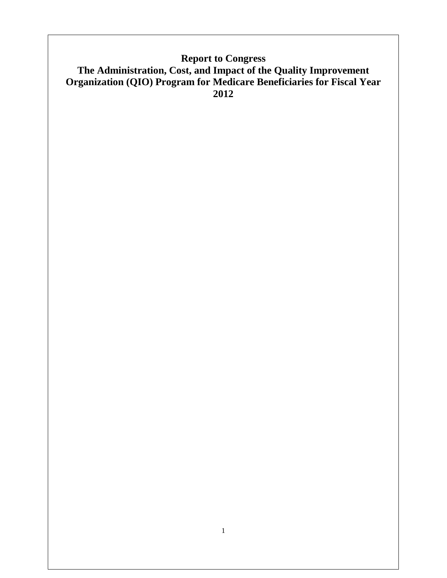# **Report to Congress The Administration, Cost, and Impact of the Quality Improvement Organization (QIO) Program for Medicare Beneficiaries for Fiscal Year 2012**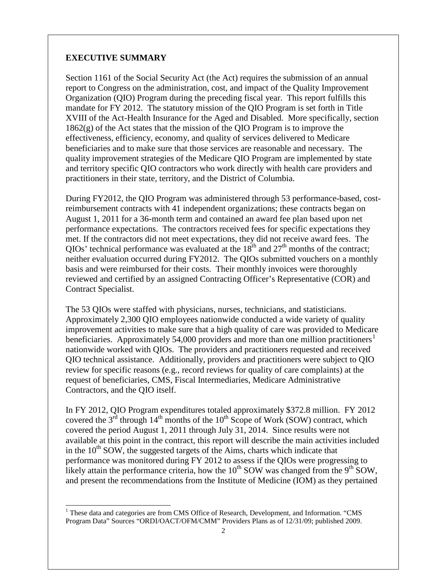#### **EXECUTIVE SUMMARY**

Section 1161 of the Social Security Act (the Act) requires the submission of an annual report to Congress on the administration, cost, and impact of the Quality Improvement Organization (QIO) Program during the preceding fiscal year. This report fulfills this mandate for FY 2012. The statutory mission of the QIO Program is set forth in Title XVIII of the Act-Health Insurance for the Aged and Disabled. More specifically, section 1862(g) of the Act states that the mission of the QIO Program is to improve the effectiveness, efficiency, economy, and quality of services delivered to Medicare beneficiaries and to make sure that those services are reasonable and necessary. The quality improvement strategies of the Medicare QIO Program are implemented by state and territory specific QIO contractors who work directly with health care providers and practitioners in their state, territory, and the District of Columbia.

During FY2012, the QIO Program was administered through 53 performance-based, costreimbursement contracts with 41 independent organizations; these contracts began on August 1, 2011 for a 36-month term and contained an award fee plan based upon net performance expectations. The contractors received fees for specific expectations they met. If the contractors did not meet expectations, they did not receive award fees. The QIOs' technical performance was evaluated at the  $18<sup>th</sup>$  and  $27<sup>th</sup>$  months of the contract; neither evaluation occurred during FY2012. The QIOs submitted vouchers on a monthly basis and were reimbursed for their costs. Their monthly invoices were thoroughly reviewed and certified by an assigned Contracting Officer's Representative (COR) and Contract Specialist.

The 53 QIOs were staffed with physicians, nurses, technicians, and statisticians. Approximately 2,300 QIO employees nationwide conducted a wide variety of quality improvement activities to make sure that a high quality of care was provided to Medicare beneficiaries. Approximately 54,000 providers and more than one million practitioners<sup>[1](#page-1-0)</sup> nationwide worked with QIOs. The providers and practitioners requested and received QIO technical assistance. Additionally, providers and practitioners were subject to QIO review for specific reasons (e.g., record reviews for quality of care complaints) at the request of beneficiaries, CMS, Fiscal Intermediaries, Medicare Administrative Contractors, and the QIO itself.

In FY 2012, QIO Program expenditures totaled approximately \$372.8 million. FY 2012 covered the  $3^{rd}$  through  $14^{th}$  months of the  $10^{th}$  Scope of Work (SOW) contract, which covered the period August 1, 2011 through July 31, 2014. Since results were not available at this point in the contract, this report will describe the main activities included in the  $10<sup>th</sup>$  SOW, the suggested targets of the Aims, charts which indicate that performance was monitored during FY 2012 to assess if the QIOs were progressing to likely attain the performance criteria, how the  $10^{th}$  SOW was changed from the  $9^{th}$  SOW, and present the recommendations from the Institute of Medicine (IOM) as they pertained

<span id="page-1-0"></span> $1$  These data and categories are from CMS Office of Research, Development, and Information. "CMS Program Data" Sources "ORDI/OACT/OFM/CMM" Providers Plans as of 12/31/09; published 2009.  $\overline{a}$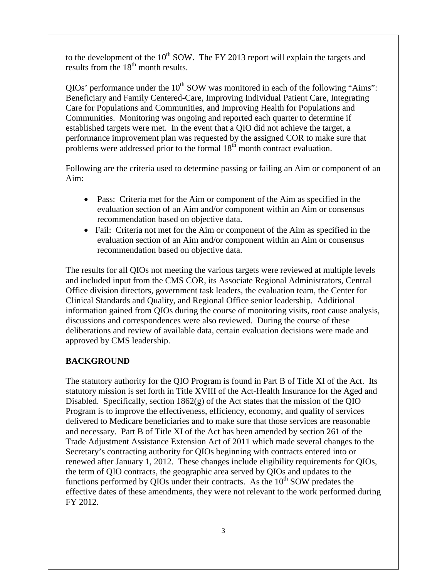to the development of the  $10^{th}$  SOW. The FY 2013 report will explain the targets and results from the  $18<sup>th</sup>$  month results.

 $QIOs'$  performance under the  $10<sup>th</sup>$  SOW was monitored in each of the following "Aims": Beneficiary and Family Centered-Care, Improving Individual Patient Care, Integrating Care for Populations and Communities, and Improving Health for Populations and Communities. Monitoring was ongoing and reported each quarter to determine if established targets were met. In the event that a QIO did not achieve the target, a performance improvement plan was requested by the assigned COR to make sure that problems were addressed prior to the formal  $18<sup>th</sup>$  month contract evaluation.

Following are the criteria used to determine passing or failing an Aim or component of an Aim:

- Pass: Criteria met for the Aim or component of the Aim as specified in the evaluation section of an Aim and/or component within an Aim or consensus recommendation based on objective data.
- Fail: Criteria not met for the Aim or component of the Aim as specified in the evaluation section of an Aim and/or component within an Aim or consensus recommendation based on objective data.

The results for all QIOs not meeting the various targets were reviewed at multiple levels and included input from the CMS COR, its Associate Regional Administrators, Central Office division directors, government task leaders, the evaluation team, the Center for Clinical Standards and Quality, and Regional Office senior leadership. Additional information gained from QIOs during the course of monitoring visits, root cause analysis, discussions and correspondences were also reviewed. During the course of these deliberations and review of available data, certain evaluation decisions were made and approved by CMS leadership.

### **BACKGROUND**

The statutory authority for the QIO Program is found in Part B of Title XI of the Act. Its statutory mission is set forth in Title XVIII of the Act-Health Insurance for the Aged and Disabled. Specifically, section 1862(g) of the Act states that the mission of the QIO Program is to improve the effectiveness, efficiency, economy, and quality of services delivered to Medicare beneficiaries and to make sure that those services are reasonable and necessary. Part B of Title XI of the Act has been amended by section 261 of the Trade Adjustment Assistance Extension Act of 2011 which made several changes to the Secretary's contracting authority for QIOs beginning with contracts entered into or renewed after January 1, 2012. These changes include eligibility requirements for QIOs, the term of QIO contracts, the geographic area served by QIOs and updates to the functions performed by QIOs under their contracts. As the  $10<sup>th</sup>$  SOW predates the effective dates of these amendments, they were not relevant to the work performed during FY 2012.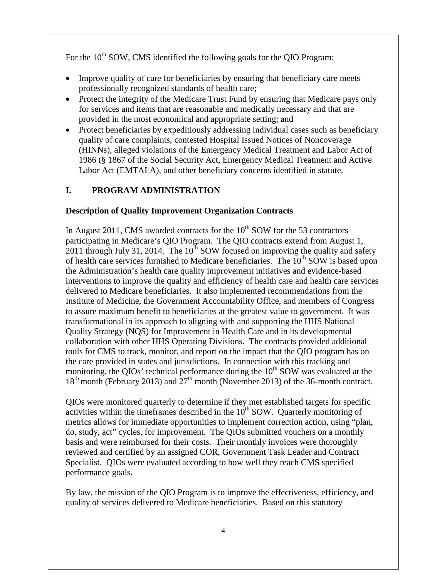For the  $10^{th}$  SOW, CMS identified the following goals for the OIO Program:

- Improve quality of care for beneficiaries by ensuring that beneficiary care meets professionally recognized standards of health care;
- Protect the integrity of the Medicare Trust Fund by ensuring that Medicare pays only for services and items that are reasonable and medically necessary and that are provided in the most economical and appropriate setting; and
- Protect beneficiaries by expeditiously addressing individual cases such as beneficiary quality of care complaints, contested Hospital Issued Notices of Noncoverage (HINNs), alleged violations of the Emergency Medical Treatment and Labor Act of 1986 (§ 1867 of the Social Security Act, Emergency Medical Treatment and Active Labor Act (EMTALA), and other beneficiary concerns identified in statute.

## **I. PROGRAM ADMINISTRATION**

#### **Description of Quality Improvement Organization Contracts**

In August 2011, CMS awarded contracts for the  $10<sup>th</sup>$  SOW for the 53 contractors participating in Medicare's QIO Program. The QIO contracts extend from August 1, 2011 through July 31, 2014. The  $10^{th}$  SOW focused on improving the quality and safety of health care services furnished to Medicare beneficiaries. The 10<sup>th</sup> SOW is based upon the Administration's health care quality improvement initiatives and evidence-based interventions to improve the quality and efficiency of health care and health care services delivered to Medicare beneficiaries. It also implemented recommendations from the Institute of Medicine, the Government Accountability Office, and members of Congress to assure maximum benefit to beneficiaries at the greatest value to government. It was transformational in its approach to aligning with and supporting the HHS National Quality Strategy (NQS) for Improvement in Health Care and in its developmental collaboration with other HHS Operating Divisions. The contracts provided additional tools for CMS to track, monitor, and report on the impact that the QIO program has on the care provided in states and jurisdictions. In connection with this tracking and monitoring, the QIOs' technical performance during the 10<sup>th</sup> SOW was evaluated at the  $18<sup>th</sup>$  month (February 2013) and  $27<sup>th</sup>$  month (November 2013) of the 36-month contract.

QIOs were monitored quarterly to determine if they met established targets for specific activities within the timeframes described in the  $10<sup>th</sup>$  SOW. Quarterly monitoring of metrics allows for immediate opportunities to implement correction action, using "plan, do, study, act" cycles, for improvement. The QIOs submitted vouchers on a monthly basis and were reimbursed for their costs. Their monthly invoices were thoroughly reviewed and certified by an assigned COR, Government Task Leader and Contract Specialist. QIOs were evaluated according to how well they reach CMS specified performance goals.

By law, the mission of the QIO Program is to improve the effectiveness, efficiency, and quality of services delivered to Medicare beneficiaries. Based on this statutory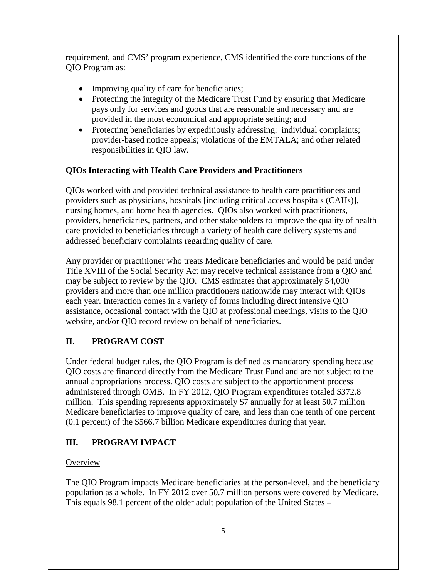requirement, and CMS' program experience, CMS identified the core functions of the QIO Program as:

- Improving quality of care for beneficiaries;
- Protecting the integrity of the Medicare Trust Fund by ensuring that Medicare pays only for services and goods that are reasonable and necessary and are provided in the most economical and appropriate setting; and
- Protecting beneficiaries by expeditiously addressing: individual complaints; provider-based notice appeals; violations of the EMTALA; and other related responsibilities in QIO law.

## **QIOs Interacting with Health Care Providers and Practitioners**

QIOs worked with and provided technical assistance to health care practitioners and providers such as physicians, hospitals [including critical access hospitals (CAHs)], nursing homes, and home health agencies. QIOs also worked with practitioners, providers, beneficiaries, partners, and other stakeholders to improve the quality of health care provided to beneficiaries through a variety of health care delivery systems and addressed beneficiary complaints regarding quality of care.

Any provider or practitioner who treats Medicare beneficiaries and would be paid under Title XVIII of the Social Security Act may receive technical assistance from a QIO and may be subject to review by the QIO. CMS estimates that approximately 54,000 providers and more than one million practitioners nationwide may interact with QIOs each year. Interaction comes in a variety of forms including direct intensive QIO assistance, occasional contact with the QIO at professional meetings, visits to the QIO website, and/or QIO record review on behalf of beneficiaries.

# **II. PROGRAM COST**

Under federal budget rules, the QIO Program is defined as mandatory spending because QIO costs are financed directly from the Medicare Trust Fund and are not subject to the annual appropriations process. QIO costs are subject to the apportionment process administered through OMB. In FY 2012, QIO Program expenditures totaled \$372.8 million. This spending represents approximately \$7 annually for at least 50.7 million Medicare beneficiaries to improve quality of care, and less than one tenth of one percent (0.1 percent) of the \$566.7 billion Medicare expenditures during that year.

# **III. PROGRAM IMPACT**

## **Overview**

The QIO Program impacts Medicare beneficiaries at the person-level, and the beneficiary population as a whole. In FY 2012 over 50.7 million persons were covered by Medicare. This equals 98.1 percent of the older adult population of the United States –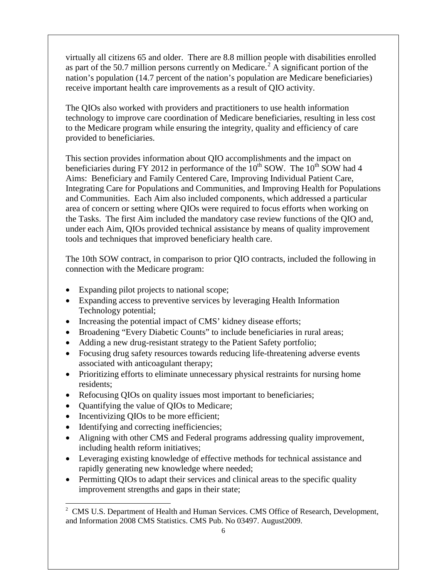virtually all citizens 65 and older. There are 8.8 million people with disabilities enrolled as part of the 50.7 million persons currently on Medicare.<sup>[2](#page-5-0)</sup> A significant portion of the nation's population (14.7 percent of the nation's population are Medicare beneficiaries) receive important health care improvements as a result of QIO activity.

The QIOs also worked with providers and practitioners to use health information technology to improve care coordination of Medicare beneficiaries, resulting in less cost to the Medicare program while ensuring the integrity, quality and efficiency of care provided to beneficiaries.

This section provides information about QIO accomplishments and the impact on beneficiaries during FY 2012 in performance of the  $10^{th}$  SOW. The  $10^{th}$  SOW had 4 Aims: Beneficiary and Family Centered Care, Improving Individual Patient Care, Integrating Care for Populations and Communities, and Improving Health for Populations and Communities. Each Aim also included components, which addressed a particular area of concern or setting where QIOs were required to focus efforts when working on the Tasks. The first Aim included the mandatory case review functions of the QIO and, under each Aim, QIOs provided technical assistance by means of quality improvement tools and techniques that improved beneficiary health care.

The 10th SOW contract, in comparison to prior QIO contracts, included the following in connection with the Medicare program:

- Expanding pilot projects to national scope;
- Expanding access to preventive services by leveraging Health Information Technology potential;
- Increasing the potential impact of CMS' kidney disease efforts;
- Broadening "Every Diabetic Counts" to include beneficiaries in rural areas;
- Adding a new drug-resistant strategy to the Patient Safety portfolio;
- Focusing drug safety resources towards reducing life-threatening adverse events associated with anticoagulant therapy;
- Prioritizing efforts to eliminate unnecessary physical restraints for nursing home residents;
- Refocusing QIOs on quality issues most important to beneficiaries;
- Quantifying the value of QIOs to Medicare;
- Incentivizing QIOs to be more efficient;
- Identifying and correcting inefficiencies;

 $\overline{a}$ 

- Aligning with other CMS and Federal programs addressing quality improvement, including health reform initiatives;
- Leveraging existing knowledge of effective methods for technical assistance and rapidly generating new knowledge where needed;
- Permitting QIOs to adapt their services and clinical areas to the specific quality improvement strengths and gaps in their state;

<span id="page-5-0"></span><sup>&</sup>lt;sup>2</sup> CMS U.S. Department of Health and Human Services. CMS Office of Research, Development, and Information 2008 CMS Statistics. CMS Pub. No 03497. August2009.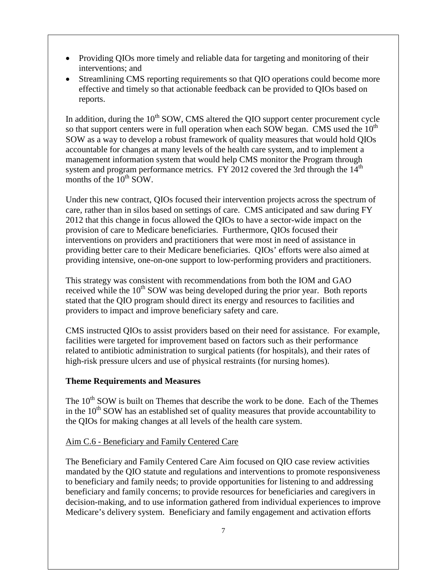- Providing QIOs more timely and reliable data for targeting and monitoring of their interventions; and
- Streamlining CMS reporting requirements so that QIO operations could become more effective and timely so that actionable feedback can be provided to QIOs based on reports.

In addition, during the  $10<sup>th</sup>$  SOW, CMS altered the QIO support center procurement cycle so that support centers were in full operation when each SOW began. CMS used the  $10<sup>th</sup>$ SOW as a way to develop a robust framework of quality measures that would hold QIOs accountable for changes at many levels of the health care system, and to implement a management information system that would help CMS monitor the Program through system and program performance metrics. FY 2012 covered the 3rd through the  $14<sup>th</sup>$ months of the  $10^{th}$  SOW.

Under this new contract, QIOs focused their intervention projects across the spectrum of care, rather than in silos based on settings of care. CMS anticipated and saw during FY 2012 that this change in focus allowed the QIOs to have a sector-wide impact on the provision of care to Medicare beneficiaries. Furthermore, QIOs focused their interventions on providers and practitioners that were most in need of assistance in providing better care to their Medicare beneficiaries. QIOs' efforts were also aimed at providing intensive, one-on-one support to low-performing providers and practitioners.

This strategy was consistent with recommendations from both the IOM and GAO received while the  $10<sup>th</sup>$  SOW was being developed during the prior year. Both reports stated that the QIO program should direct its energy and resources to facilities and providers to impact and improve beneficiary safety and care.

CMS instructed QIOs to assist providers based on their need for assistance. For example, facilities were targeted for improvement based on factors such as their performance related to antibiotic administration to surgical patients (for hospitals), and their rates of high-risk pressure ulcers and use of physical restraints (for nursing homes).

### **Theme Requirements and Measures**

The 10<sup>th</sup> SOW is built on Themes that describe the work to be done. Each of the Themes in the  $10<sup>th</sup>$  SOW has an established set of quality measures that provide accountability to the QIOs for making changes at all levels of the health care system.

### Aim C.6 - Beneficiary and Family Centered Care

The Beneficiary and Family Centered Care Aim focused on QIO case review activities mandated by the QIO statute and regulations and interventions to promote responsiveness to beneficiary and family needs; to provide opportunities for listening to and addressing beneficiary and family concerns; to provide resources for beneficiaries and caregivers in decision-making, and to use information gathered from individual experiences to improve Medicare's delivery system. Beneficiary and family engagement and activation efforts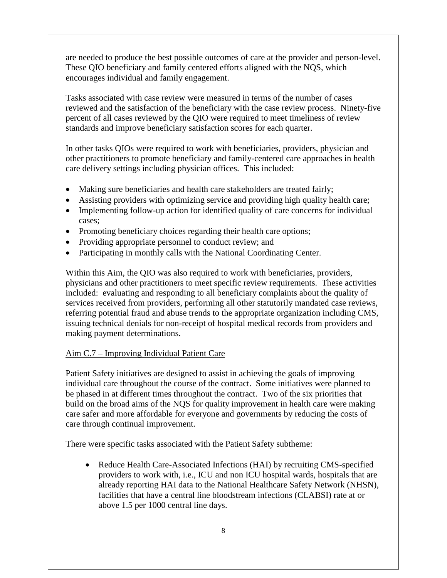are needed to produce the best possible outcomes of care at the provider and person-level. These QIO beneficiary and family centered efforts aligned with the NQS, which encourages individual and family engagement.

Tasks associated with case review were measured in terms of the number of cases reviewed and the satisfaction of the beneficiary with the case review process. Ninety-five percent of all cases reviewed by the QIO were required to meet timeliness of review standards and improve beneficiary satisfaction scores for each quarter.

In other tasks QIOs were required to work with beneficiaries, providers, physician and other practitioners to promote beneficiary and family-centered care approaches in health care delivery settings including physician offices. This included:

- Making sure beneficiaries and health care stakeholders are treated fairly;
- Assisting providers with optimizing service and providing high quality health care;
- Implementing follow-up action for identified quality of care concerns for individual cases;
- Promoting beneficiary choices regarding their health care options;
- Providing appropriate personnel to conduct review; and
- Participating in monthly calls with the National Coordinating Center.

Within this Aim, the QIO was also required to work with beneficiaries, providers, physicians and other practitioners to meet specific review requirements. These activities included: evaluating and responding to all beneficiary complaints about the quality of services received from providers, performing all other statutorily mandated case reviews, referring potential fraud and abuse trends to the appropriate organization including CMS, issuing technical denials for non-receipt of hospital medical records from providers and making payment determinations.

### Aim C.7 – Improving Individual Patient Care

Patient Safety initiatives are designed to assist in achieving the goals of improving individual care throughout the course of the contract. Some initiatives were planned to be phased in at different times throughout the contract. Two of the six priorities that build on the broad aims of the NQS for quality improvement in health care were making care safer and more affordable for everyone and governments by reducing the costs of care through continual improvement.

There were specific tasks associated with the Patient Safety subtheme:

• Reduce Health Care-Associated Infections (HAI) by recruiting CMS-specified providers to work with, i.e., ICU and non ICU hospital wards, hospitals that are already reporting HAI data to the National Healthcare Safety Network (NHSN), facilities that have a central line bloodstream infections (CLABSI) rate at or above 1.5 per 1000 central line days.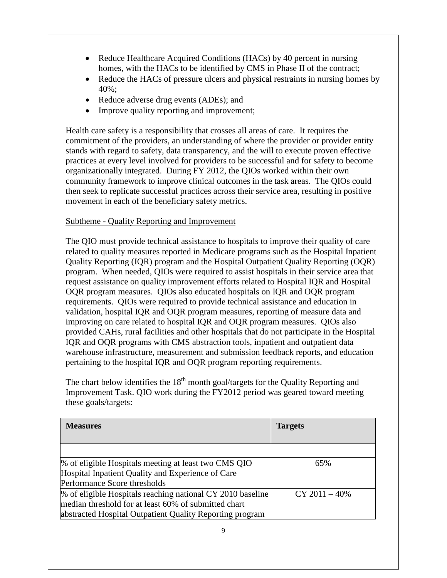- Reduce Healthcare Acquired Conditions (HACs) by 40 percent in nursing homes, with the HACs to be identified by CMS in Phase II of the contract;
- Reduce the HACs of pressure ulcers and physical restraints in nursing homes by 40%;
- Reduce adverse drug events (ADEs); and
- Improve quality reporting and improvement;

Health care safety is a responsibility that crosses all areas of care. It requires the commitment of the providers, an understanding of where the provider or provider entity stands with regard to safety, data transparency, and the will to execute proven effective practices at every level involved for providers to be successful and for safety to become organizationally integrated. During FY 2012, the QIOs worked within their own community framework to improve clinical outcomes in the task areas. The QIOs could then seek to replicate successful practices across their service area, resulting in positive movement in each of the beneficiary safety metrics.

## Subtheme - Quality Reporting and Improvement

The QIO must provide technical assistance to hospitals to improve their quality of care related to quality measures reported in Medicare programs such as the Hospital Inpatient Quality Reporting (IQR) program and the Hospital Outpatient Quality Reporting (OQR) program. When needed, QIOs were required to assist hospitals in their service area that request assistance on quality improvement efforts related to Hospital IQR and Hospital OQR program measures. QIOs also educated hospitals on IQR and OQR program requirements. QIOs were required to provide technical assistance and education in validation, hospital IQR and OQR program measures, reporting of measure data and improving on care related to hospital IQR and OQR program measures. QIOs also provided CAHs, rural facilities and other hospitals that do not participate in the Hospital IQR and OQR programs with CMS abstraction tools, inpatient and outpatient data warehouse infrastructure, measurement and submission feedback reports, and education pertaining to the hospital IQR and OQR program reporting requirements.

The chart below identifies the  $18<sup>th</sup>$  month goal/targets for the Quality Reporting and Improvement Task. QIO work during the FY2012 period was geared toward meeting these goals/targets:

| <b>Measures</b>                                            | <b>Targets</b>   |
|------------------------------------------------------------|------------------|
|                                                            |                  |
|                                                            |                  |
| % of eligible Hospitals meeting at least two CMS QIO       | 65%              |
| Hospital Inpatient Quality and Experience of Care          |                  |
| Performance Score thresholds                               |                  |
| % of eligible Hospitals reaching national CY 2010 baseline | $CY 2011 - 40\%$ |
| median threshold for at least 60% of submitted chart       |                  |
| abstracted Hospital Outpatient Quality Reporting program   |                  |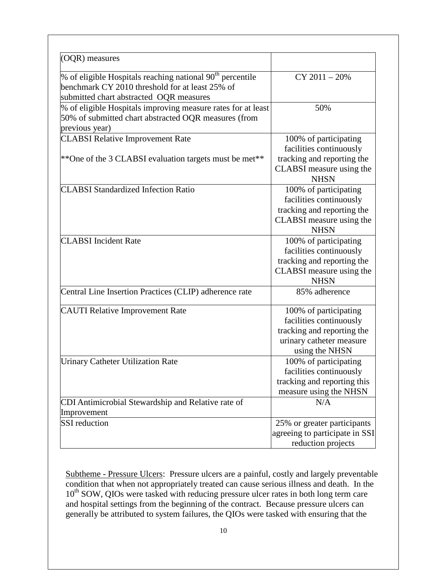| (OQR) measures                                                                                                                                                      |                                                                                                                              |
|---------------------------------------------------------------------------------------------------------------------------------------------------------------------|------------------------------------------------------------------------------------------------------------------------------|
| % of eligible Hospitals reaching national 90 <sup>th</sup> percentile<br>benchmark CY 2010 threshold for at least 25% of<br>submitted chart abstracted OQR measures | $CY 2011 - 20%$                                                                                                              |
| % of eligible Hospitals improving measure rates for at least<br>50% of submitted chart abstracted OQR measures (from<br>previous year)                              | 50%                                                                                                                          |
| <b>CLABSI Relative Improvement Rate</b>                                                                                                                             | 100% of participating<br>facilities continuously                                                                             |
| **One of the 3 CLABSI evaluation targets must be met**                                                                                                              | tracking and reporting the<br>CLABSI measure using the<br><b>NHSN</b>                                                        |
| <b>CLABSI Standardized Infection Ratio</b>                                                                                                                          | 100% of participating<br>facilities continuously<br>tracking and reporting the<br>CLABSI measure using the<br><b>NHSN</b>    |
| <b>CLABSI</b> Incident Rate                                                                                                                                         | 100% of participating<br>facilities continuously<br>tracking and reporting the<br>CLABSI measure using the<br><b>NHSN</b>    |
| Central Line Insertion Practices (CLIP) adherence rate                                                                                                              | 85% adherence                                                                                                                |
| <b>CAUTI Relative Improvement Rate</b>                                                                                                                              | 100% of participating<br>facilities continuously<br>tracking and reporting the<br>urinary catheter measure<br>using the NHSN |
| <b>Urinary Catheter Utilization Rate</b>                                                                                                                            | 100% of participating<br>facilities continuously<br>tracking and reporting this<br>measure using the NHSN                    |
| CDI Antimicrobial Stewardship and Relative rate of<br>Improvement                                                                                                   | N/A                                                                                                                          |
| <b>SSI</b> reduction                                                                                                                                                | 25% or greater participants<br>agreeing to participate in SSI<br>reduction projects                                          |

Subtheme - Pressure Ulcers: Pressure ulcers are a painful, costly and largely preventable condition that when not appropriately treated can cause serious illness and death. In the 10<sup>th</sup> SOW, QIOs were tasked with reducing pressure ulcer rates in both long term care and hospital settings from the beginning of the contract. Because pressure ulcers can generally be attributed to system failures, the QIOs were tasked with ensuring that the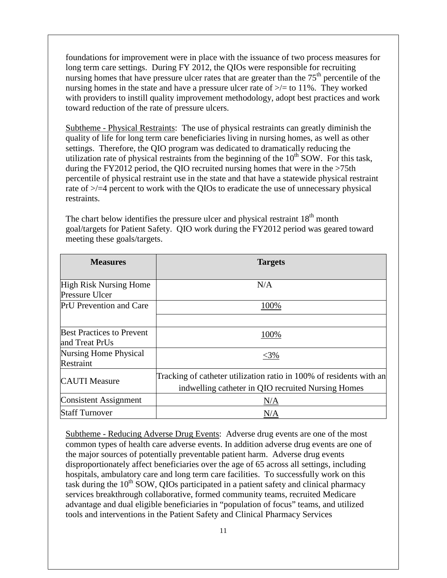foundations for improvement were in place with the issuance of two process measures for long term care settings. During FY 2012, the QIOs were responsible for recruiting nursing homes that have pressure ulcer rates that are greater than the  $75<sup>th</sup>$  percentile of the nursing homes in the state and have a pressure ulcer rate of  $\ge$  = to 11%. They worked with providers to instill quality improvement methodology, adopt best practices and work toward reduction of the rate of pressure ulcers.

Subtheme - Physical Restraints: The use of physical restraints can greatly diminish the quality of life for long term care beneficiaries living in nursing homes, as well as other settings. Therefore, the QIO program was dedicated to dramatically reducing the utilization rate of physical restraints from the beginning of the  $10<sup>th</sup>$  SOW. For this task, during the FY2012 period, the QIO recruited nursing homes that were in the >75th percentile of physical restraint use in the state and that have a statewide physical restraint rate of  $\ge$ /=4 percent to work with the QIOs to eradicate the use of unnecessary physical restraints.

The chart below identifies the pressure ulcer and physical restraint  $18<sup>th</sup>$  month goal/targets for Patient Safety. QIO work during the FY2012 period was geared toward meeting these goals/targets.

| <b>Measures</b>                                        | <b>Targets</b>                                                                                                            |
|--------------------------------------------------------|---------------------------------------------------------------------------------------------------------------------------|
| <b>High Risk Nursing Home</b><br><b>Pressure Ulcer</b> | N/A                                                                                                                       |
| <b>PrU</b> Prevention and Care                         | 100%                                                                                                                      |
| <b>Best Practices to Prevent</b><br>and Treat PrUs     | 100%                                                                                                                      |
| <b>Nursing Home Physical</b><br>Restraint              | $<$ 3%                                                                                                                    |
| <b>CAUTI</b> Measure                                   | Tracking of catheter utilization ratio in 100% of residents with an<br>indwelling catheter in QIO recruited Nursing Homes |
| <b>Consistent Assignment</b>                           | N/A                                                                                                                       |
| <b>Staff Turnover</b>                                  | N/A                                                                                                                       |

Subtheme - Reducing Adverse Drug Events: Adverse drug events are one of the most common types of health care adverse events. In addition adverse drug events are one of the major sources of potentially preventable patient harm. Adverse drug events disproportionately affect beneficiaries over the age of 65 across all settings, including hospitals, ambulatory care and long term care facilities. To successfully work on this task during the  $10<sup>th</sup>$  SOW, QIOs participated in a patient safety and clinical pharmacy services breakthrough collaborative, formed community teams, recruited Medicare advantage and dual eligible beneficiaries in "population of focus" teams, and utilized tools and interventions in the Patient Safety and Clinical Pharmacy Services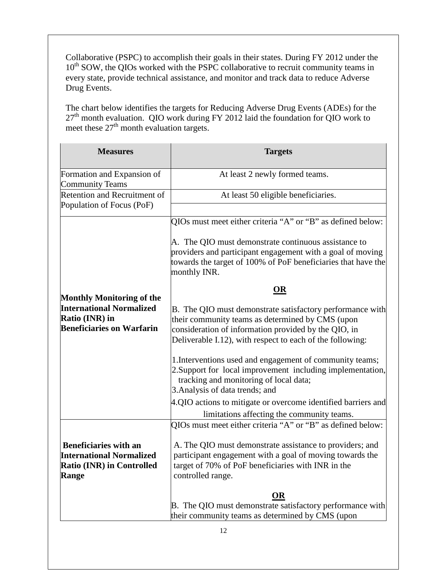Collaborative (PSPC) to accomplish their goals in their states. During FY 2012 under the 10<sup>th</sup> SOW, the QIOs worked with the PSPC collaborative to recruit community teams in every state, provide technical assistance, and monitor and track data to reduce Adverse Drug Events.

The chart below identifies the targets for Reducing Adverse Drug Events (ADEs) for the 27<sup>th</sup> month evaluation. QIO work during FY 2012 laid the foundation for QIO work to meet these  $27<sup>th</sup>$  month evaluation targets.

| <b>Measures</b>                                                                                                           | <b>Targets</b>                                                                                                                                                                                                                                                                                       |
|---------------------------------------------------------------------------------------------------------------------------|------------------------------------------------------------------------------------------------------------------------------------------------------------------------------------------------------------------------------------------------------------------------------------------------------|
| Formation and Expansion of<br><b>Community Teams</b>                                                                      | At least 2 newly formed teams.                                                                                                                                                                                                                                                                       |
| Retention and Recruitment of<br>Population of Focus (PoF)                                                                 | At least 50 eligible beneficiaries.                                                                                                                                                                                                                                                                  |
| <b>Monthly Monitoring of the</b><br><b>International Normalized</b><br>Ratio (INR) in<br><b>Beneficiaries on Warfarin</b> | QIOs must meet either criteria "A" or "B" as defined below:                                                                                                                                                                                                                                          |
|                                                                                                                           | A. The QIO must demonstrate continuous assistance to<br>providers and participant engagement with a goal of moving<br>towards the target of 100% of PoF beneficiaries that have the<br>monthly INR.                                                                                                  |
|                                                                                                                           | OR<br>B. The QIO must demonstrate satisfactory performance with<br>their community teams as determined by CMS (upon<br>consideration of information provided by the QIO, in<br>Deliverable I.12), with respect to each of the following:<br>1. Interventions used and engagement of community teams; |
|                                                                                                                           | 2. Support for local improvement including implementation,<br>tracking and monitoring of local data;<br>3. Analysis of data trends; and                                                                                                                                                              |
|                                                                                                                           | 4.QIO actions to mitigate or overcome identified barriers and<br>limitations affecting the community teams.                                                                                                                                                                                          |
| <b>Beneficiaries with an</b><br><b>International Normalized</b><br>Ratio (INR) in Controlled<br><b>Range</b>              | QIOs must meet either criteria "A" or "B" as defined below:<br>A. The QIO must demonstrate assistance to providers; and<br>participant engagement with a goal of moving towards the<br>target of 70% of PoF beneficiaries with INR in the<br>controlled range.                                       |
|                                                                                                                           | OR<br>B. The QIO must demonstrate satisfactory performance with<br>their community teams as determined by CMS (upon<br>12                                                                                                                                                                            |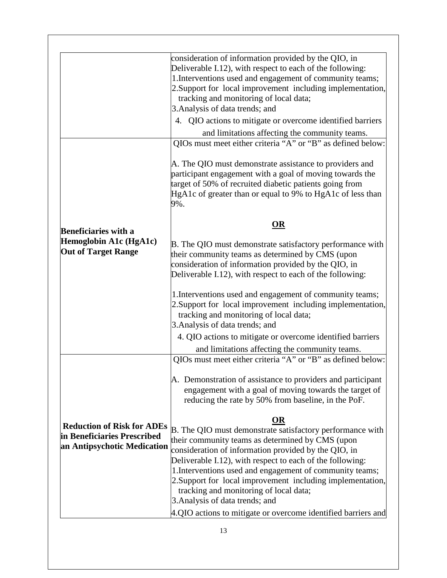|                                                                                                 | consideration of information provided by the QIO, in<br>Deliverable I.12), with respect to each of the following:<br>1. Interventions used and engagement of community teams;<br>2. Support for local improvement including implementation,<br>tracking and monitoring of local data;<br>3. Analysis of data trends; and<br>4. QIO actions to mitigate or overcome identified barriers<br>and limitations affecting the community teams.<br>QIOs must meet either criteria "A" or "B" as defined below:<br>A. The QIO must demonstrate assistance to providers and<br>participant engagement with a goal of moving towards the<br>target of 50% of recruited diabetic patients going from<br>HgA1c of greater than or equal to 9% to HgA1c of less than<br>9%. |
|-------------------------------------------------------------------------------------------------|----------------------------------------------------------------------------------------------------------------------------------------------------------------------------------------------------------------------------------------------------------------------------------------------------------------------------------------------------------------------------------------------------------------------------------------------------------------------------------------------------------------------------------------------------------------------------------------------------------------------------------------------------------------------------------------------------------------------------------------------------------------|
|                                                                                                 | OR                                                                                                                                                                                                                                                                                                                                                                                                                                                                                                                                                                                                                                                                                                                                                             |
| <b>Beneficiaries with a</b><br>Hemoglobin A1c (HgA1c)<br><b>Out of Target Range</b>             | B. The QIO must demonstrate satisfactory performance with<br>their community teams as determined by CMS (upon<br>consideration of information provided by the QIO, in<br>Deliverable I.12), with respect to each of the following:                                                                                                                                                                                                                                                                                                                                                                                                                                                                                                                             |
|                                                                                                 | 1. Interventions used and engagement of community teams;<br>2. Support for local improvement including implementation,<br>tracking and monitoring of local data;<br>3. Analysis of data trends; and                                                                                                                                                                                                                                                                                                                                                                                                                                                                                                                                                            |
|                                                                                                 | 4. QIO actions to mitigate or overcome identified barriers                                                                                                                                                                                                                                                                                                                                                                                                                                                                                                                                                                                                                                                                                                     |
|                                                                                                 | and limitations affecting the community teams.<br>QIOs must meet either criteria "A" or "B" as defined below:                                                                                                                                                                                                                                                                                                                                                                                                                                                                                                                                                                                                                                                  |
| <b>Reduction of Risk for ADEs</b><br>in Beneficiaries Prescribed<br>an Antipsychotic Medication | A. Demonstration of assistance to providers and participant<br>engagement with a goal of moving towards the target of<br>reducing the rate by 50% from baseline, in the PoF.                                                                                                                                                                                                                                                                                                                                                                                                                                                                                                                                                                                   |
|                                                                                                 | <b>OR</b><br>B. The QIO must demonstrate satisfactory performance with<br>their community teams as determined by CMS (upon<br>consideration of information provided by the QIO, in<br>Deliverable I.12), with respect to each of the following:<br>1. Interventions used and engagement of community teams;<br>2. Support for local improvement including implementation,<br>tracking and monitoring of local data;<br>3. Analysis of data trends; and                                                                                                                                                                                                                                                                                                         |
|                                                                                                 | 4.QIO actions to mitigate or overcome identified barriers and                                                                                                                                                                                                                                                                                                                                                                                                                                                                                                                                                                                                                                                                                                  |
|                                                                                                 | 13                                                                                                                                                                                                                                                                                                                                                                                                                                                                                                                                                                                                                                                                                                                                                             |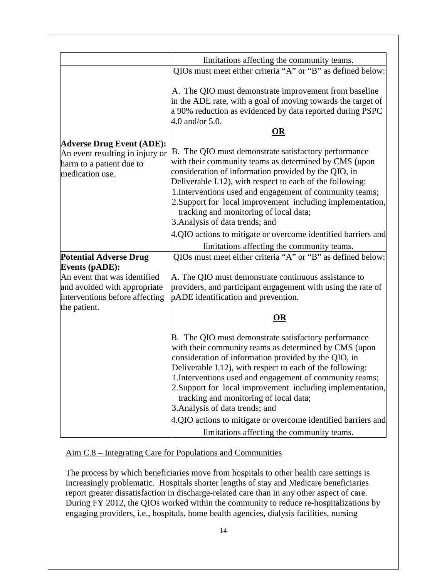|                                                                                | limitations affecting the community teams.                                                                                                                                                                                                                                                                                                                                                                                                |
|--------------------------------------------------------------------------------|-------------------------------------------------------------------------------------------------------------------------------------------------------------------------------------------------------------------------------------------------------------------------------------------------------------------------------------------------------------------------------------------------------------------------------------------|
|                                                                                | QIOs must meet either criteria "A" or "B" as defined below:                                                                                                                                                                                                                                                                                                                                                                               |
|                                                                                | A. The QIO must demonstrate improvement from baseline<br>in the ADE rate, with a goal of moving towards the target of<br>a 90% reduction as evidenced by data reported during PSPC<br>4.0 and/or $5.0$ .<br>OR                                                                                                                                                                                                                            |
| <b>Adverse Drug Event (ADE):</b>                                               |                                                                                                                                                                                                                                                                                                                                                                                                                                           |
| An event resulting in injury or<br>harm to a patient due to<br>medication use. | B. The QIO must demonstrate satisfactory performance<br>with their community teams as determined by CMS (upon<br>consideration of information provided by the QIO, in<br>Deliverable I.12), with respect to each of the following:<br>1. Interventions used and engagement of community teams;<br>2. Support for local improvement including implementation,<br>tracking and monitoring of local data;<br>3. Analysis of data trends; and |
|                                                                                | 4.QIO actions to mitigate or overcome identified barriers and                                                                                                                                                                                                                                                                                                                                                                             |
|                                                                                | limitations affecting the community teams.                                                                                                                                                                                                                                                                                                                                                                                                |
| <b>Potential Adverse Drug</b>                                                  | QIOs must meet either criteria "A" or "B" as defined below:                                                                                                                                                                                                                                                                                                                                                                               |
| <b>Events (pADE):</b>                                                          |                                                                                                                                                                                                                                                                                                                                                                                                                                           |
| An event that was identified                                                   | A. The QIO must demonstrate continuous assistance to                                                                                                                                                                                                                                                                                                                                                                                      |
| and avoided with appropriate                                                   | providers, and participant engagement with using the rate of                                                                                                                                                                                                                                                                                                                                                                              |
| interventions before affecting                                                 | pADE identification and prevention.                                                                                                                                                                                                                                                                                                                                                                                                       |
| the patient.                                                                   |                                                                                                                                                                                                                                                                                                                                                                                                                                           |
|                                                                                | OR                                                                                                                                                                                                                                                                                                                                                                                                                                        |
|                                                                                | B. The QIO must demonstrate satisfactory performance<br>with their community teams as determined by CMS (upon<br>consideration of information provided by the QIO, in<br>Deliverable I.12), with respect to each of the following:<br>1. Interventions used and engagement of community teams;<br>2. Support for local improvement including implementation,<br>tracking and monitoring of local data;<br>3. Analysis of data trends; and |
|                                                                                | 4.QIO actions to mitigate or overcome identified barriers and                                                                                                                                                                                                                                                                                                                                                                             |
|                                                                                | limitations affecting the community teams.                                                                                                                                                                                                                                                                                                                                                                                                |

Aim C.8 – Integrating Care for Populations and Communities

The process by which beneficiaries move from hospitals to other health care settings is increasingly problematic. Hospitals shorter lengths of stay and Medicare beneficiaries report greater dissatisfaction in discharge-related care than in any other aspect of care. During FY 2012, the QIOs worked within the community to reduce re-hospitalizations by engaging providers, i.e., hospitals, home health agencies, dialysis facilities, nursing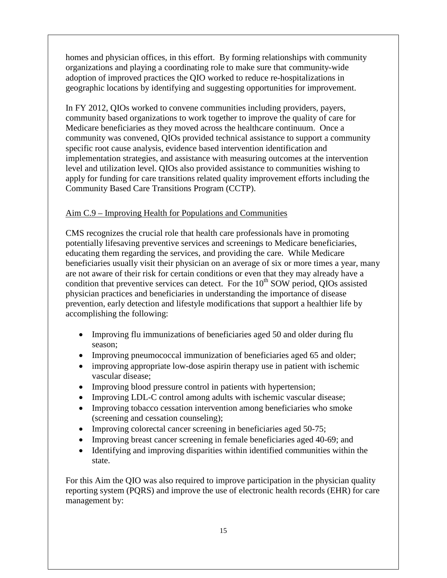homes and physician offices, in this effort. By forming relationships with community organizations and playing a coordinating role to make sure that community-wide adoption of improved practices the QIO worked to reduce re-hospitalizations in geographic locations by identifying and suggesting opportunities for improvement.

In FY 2012, QIOs worked to convene communities including providers, payers, community based organizations to work together to improve the quality of care for Medicare beneficiaries as they moved across the healthcare continuum. Once a community was convened, QIOs provided technical assistance to support a community specific root cause analysis, evidence based intervention identification and implementation strategies, and assistance with measuring outcomes at the intervention level and utilization level. QIOs also provided assistance to communities wishing to apply for funding for care transitions related quality improvement efforts including the Community Based Care Transitions Program (CCTP).

### Aim C.9 – Improving Health for Populations and Communities

CMS recognizes the crucial role that health care professionals have in promoting potentially lifesaving preventive services and screenings to Medicare beneficiaries, educating them regarding the services, and providing the care. While Medicare beneficiaries usually visit their physician on an average of six or more times a year, many are not aware of their risk for certain conditions or even that they may already have a condition that preventive services can detect. For the  $10<sup>th</sup>$  SOW period, QIOs assisted physician practices and beneficiaries in understanding the importance of disease prevention, early detection and lifestyle modifications that support a healthier life by accomplishing the following:

- Improving flu immunizations of beneficiaries aged 50 and older during flu season;
- Improving pneumococcal immunization of beneficiaries aged 65 and older;
- improving appropriate low-dose aspirin therapy use in patient with ischemic vascular disease;
- Improving blood pressure control in patients with hypertension;
- Improving LDL-C control among adults with ischemic vascular disease;
- Improving tobacco cessation intervention among beneficiaries who smoke (screening and cessation counseling);
- Improving colorectal cancer screening in beneficiaries aged 50-75;
- Improving breast cancer screening in female beneficiaries aged 40-69; and
- Identifying and improving disparities within identified communities within the state.

For this Aim the QIO was also required to improve participation in the physician quality reporting system (PQRS) and improve the use of electronic health records (EHR) for care management by: